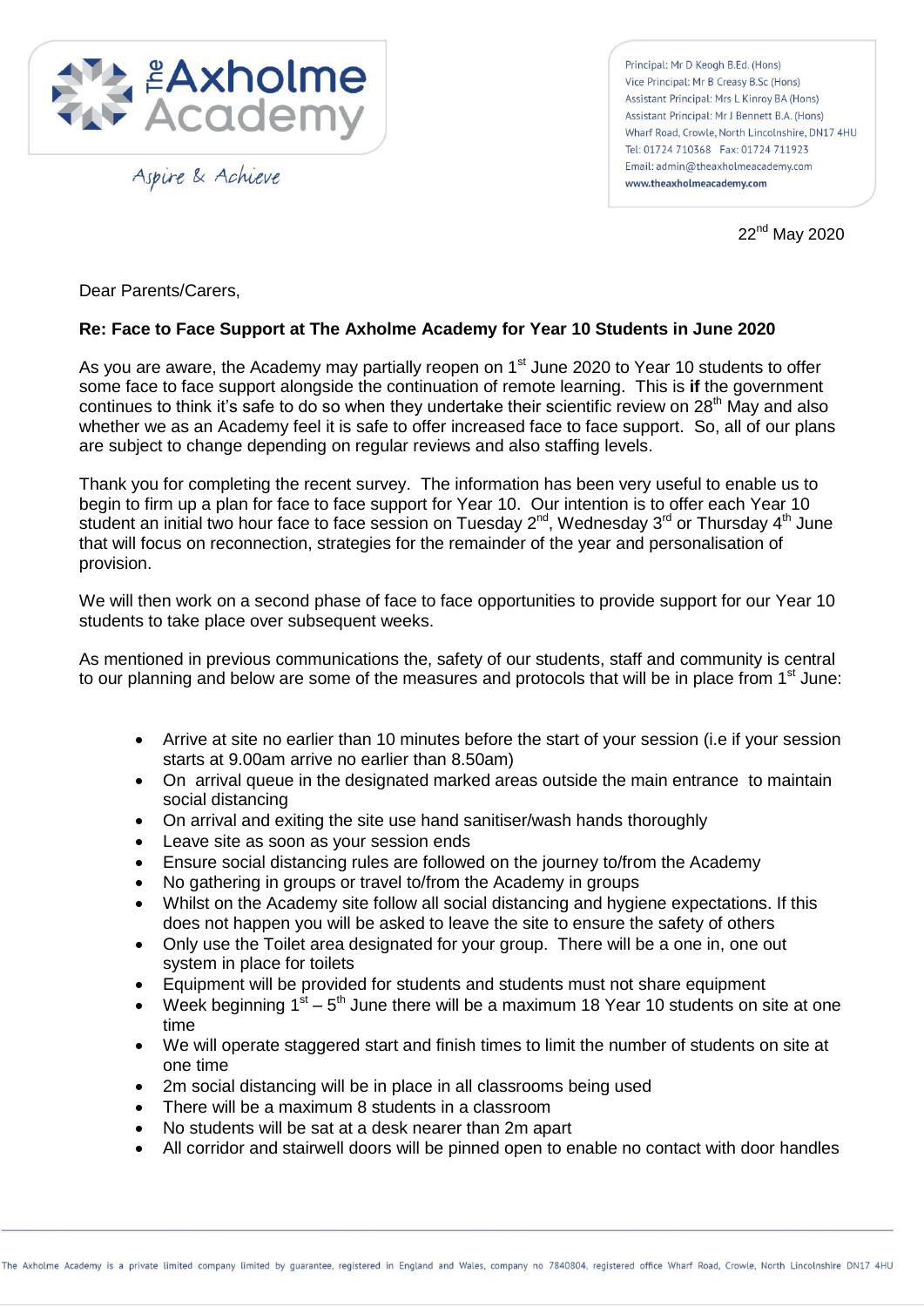

Aspire & Achieve

Principal: Mr D Keogh B.Ed. (Hons) Vice Principal: Mr B Creasy B.Sc (Hons) Assistant Principal: Mrs L Kinroy BA (Hons) Assistant Principal: Mr J Bennett B.A. (Hons) Wharf Road, Crowle, North Lincolnshire, DN17 4HU Tel: 01724 710368 Fax: 01724 711923 Email: admin@theaxholmeacademy.com www.theaxholmeacademy.com

22nd May 2020

Dear Parents/Carers,

## **Re: Face to Face Support at The Axholme Academy for Year 10 Students in June 2020**

As you are aware, the Academy may partially reopen on 1<sup>st</sup> June 2020 to Year 10 students to offer some face to face support alongside the continuation of remote learning. This is **if** the government continues to think it's safe to do so when they undertake their scientific review on 28<sup>th</sup> May and also whether we as an Academy feel it is safe to offer increased face to face support. So, all of our plans are subject to change depending on regular reviews and also staffing levels.

Thank you for completing the recent survey. The information has been very useful to enable us to begin to firm up a plan for face to face support for Year 10. Our intention is to offer each Year 10 student an initial two hour face to face session on Tuesday 2<sup>nd</sup>, Wednesday 3<sup>rd</sup> or Thursday 4<sup>th</sup> June that will focus on reconnection, strategies for the remainder of the year and personalisation of provision.

We will then work on a second phase of face to face opportunities to provide support for our Year 10 students to take place over subsequent weeks.

As mentioned in previous communications the, safety of our students, staff and community is central to our planning and below are some of the measures and protocols that will be in place from  $1<sup>st</sup>$  June:

- Arrive at site no earlier than 10 minutes before the start of your session (i.e if your session starts at 9.00am arrive no earlier than 8.50am)
- On arrival queue in the designated marked areas outside the main entrance to maintain social distancing
- On arrival and exiting the site use hand sanitiser/wash hands thoroughly
- Leave site as soon as your session ends
- Ensure social distancing rules are followed on the journey to/from the Academy
- No gathering in groups or travel to/from the Academy in groups
- Whilst on the Academy site follow all social distancing and hygiene expectations. If this does not happen you will be asked to leave the site to ensure the safety of others
- Only use the Toilet area designated for your group. There will be a one in, one out system in place for toilets
- Equipment will be provided for students and students must not share equipment
- Week beginning  $1<sup>st</sup> 5<sup>th</sup>$  June there will be a maximum 18 Year 10 students on site at one time
- We will operate staggered start and finish times to limit the number of students on site at one time
- 2m social distancing will be in place in all classrooms being used
- There will be a maximum 8 students in a classroom
- No students will be sat at a desk nearer than 2m apart
- All corridor and stairwell doors will be pinned open to enable no contact with door handles